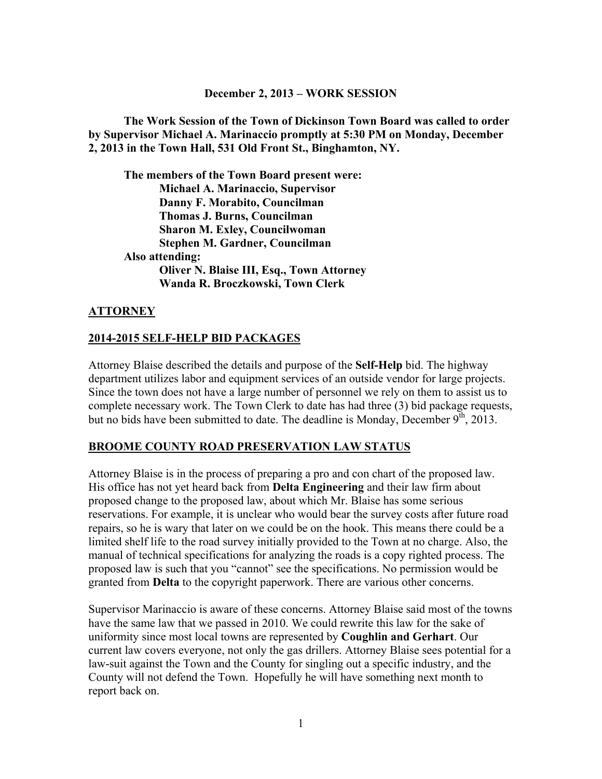#### **December 2, 2013 – WORK SESSION**

**The Work Session of the Town of Dickinson Town Board was called to order by Supervisor Michael A. Marinaccio promptly at 5:30 PM on Monday, December 2, 2013 in the Town Hall, 531 Old Front St., Binghamton, NY.** 

**The members of the Town Board present were: Michael A. Marinaccio, Supervisor Danny F. Morabito, Councilman Thomas J. Burns, Councilman Sharon M. Exley, Councilwoman Stephen M. Gardner, Councilman Also attending: Oliver N. Blaise III, Esq., Town Attorney Wanda R. Broczkowski, Town Clerk** 

#### **ATTORNEY**

#### **2014-2015 SELF-HELP BID PACKAGES**

Attorney Blaise described the details and purpose of the **Self-Help** bid. The highway department utilizes labor and equipment services of an outside vendor for large projects. Since the town does not have a large number of personnel we rely on them to assist us to complete necessary work. The Town Clerk to date has had three (3) bid package requests, but no bids have been submitted to date. The deadline is Monday, December  $9<sup>th</sup>$ , 2013.

#### **BROOME COUNTY ROAD PRESERVATION LAW STATUS**

Attorney Blaise is in the process of preparing a pro and con chart of the proposed law. His office has not yet heard back from **Delta Engineering** and their law firm about proposed change to the proposed law, about which Mr. Blaise has some serious reservations. For example, it is unclear who would bear the survey costs after future road repairs, so he is wary that later on we could be on the hook. This means there could be a limited shelf life to the road survey initially provided to the Town at no charge. Also, the manual of technical specifications for analyzing the roads is a copy righted process. The proposed law is such that you "cannot" see the specifications. No permission would be granted from **Delta** to the copyright paperwork. There are various other concerns.

Supervisor Marinaccio is aware of these concerns. Attorney Blaise said most of the towns have the same law that we passed in 2010. We could rewrite this law for the sake of uniformity since most local towns are represented by **Coughlin and Gerhart**. Our current law covers everyone, not only the gas drillers. Attorney Blaise sees potential for a law-suit against the Town and the County for singling out a specific industry, and the County will not defend the Town. Hopefully he will have something next month to report back on.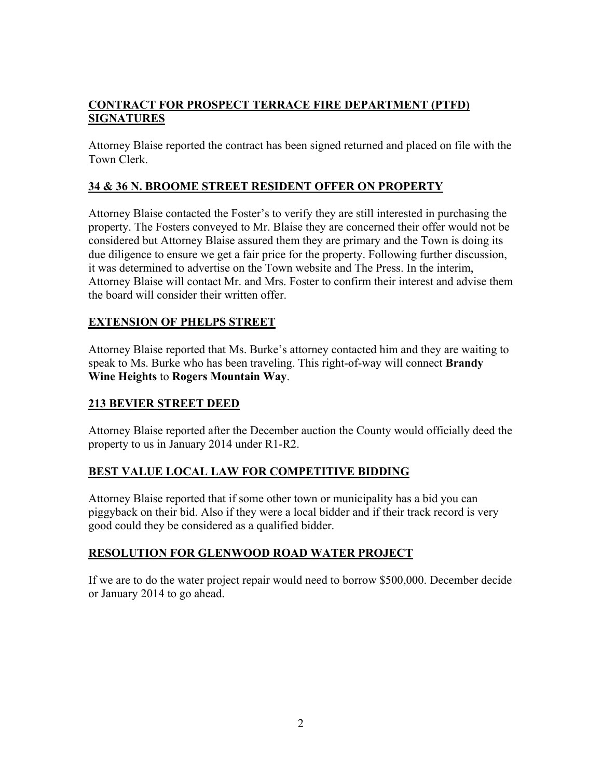# **CONTRACT FOR PROSPECT TERRACE FIRE DEPARTMENT (PTFD) SIGNATURES**

Attorney Blaise reported the contract has been signed returned and placed on file with the Town Clerk.

# **34 & 36 N. BROOME STREET RESIDENT OFFER ON PROPERTY**

Attorney Blaise contacted the Foster's to verify they are still interested in purchasing the property. The Fosters conveyed to Mr. Blaise they are concerned their offer would not be considered but Attorney Blaise assured them they are primary and the Town is doing its due diligence to ensure we get a fair price for the property. Following further discussion, it was determined to advertise on the Town website and The Press. In the interim, Attorney Blaise will contact Mr. and Mrs. Foster to confirm their interest and advise them the board will consider their written offer.

## **EXTENSION OF PHELPS STREET**

Attorney Blaise reported that Ms. Burke's attorney contacted him and they are waiting to speak to Ms. Burke who has been traveling. This right-of-way will connect **Brandy Wine Heights** to **Rogers Mountain Way**.

## **213 BEVIER STREET DEED**

Attorney Blaise reported after the December auction the County would officially deed the property to us in January 2014 under R1-R2.

# **BEST VALUE LOCAL LAW FOR COMPETITIVE BIDDING**

Attorney Blaise reported that if some other town or municipality has a bid you can piggyback on their bid. Also if they were a local bidder and if their track record is very good could they be considered as a qualified bidder.

## **RESOLUTION FOR GLENWOOD ROAD WATER PROJECT**

If we are to do the water project repair would need to borrow \$500,000. December decide or January 2014 to go ahead.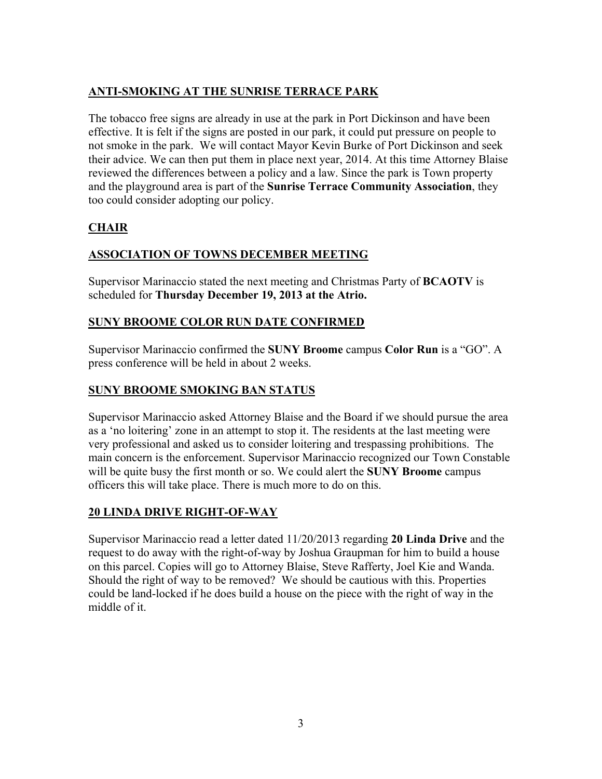# **ANTI-SMOKING AT THE SUNRISE TERRACE PARK**

The tobacco free signs are already in use at the park in Port Dickinson and have been effective. It is felt if the signs are posted in our park, it could put pressure on people to not smoke in the park. We will contact Mayor Kevin Burke of Port Dickinson and seek their advice. We can then put them in place next year, 2014. At this time Attorney Blaise reviewed the differences between a policy and a law. Since the park is Town property and the playground area is part of the **Sunrise Terrace Community Association**, they too could consider adopting our policy.

# **CHAIR**

## **ASSOCIATION OF TOWNS DECEMBER MEETING**

Supervisor Marinaccio stated the next meeting and Christmas Party of **BCAOTV** is scheduled for **Thursday December 19, 2013 at the Atrio.**

#### **SUNY BROOME COLOR RUN DATE CONFIRMED**

Supervisor Marinaccio confirmed the **SUNY Broome** campus **Color Run** is a "GO". A press conference will be held in about 2 weeks.

## **SUNY BROOME SMOKING BAN STATUS**

Supervisor Marinaccio asked Attorney Blaise and the Board if we should pursue the area as a 'no loitering' zone in an attempt to stop it. The residents at the last meeting were very professional and asked us to consider loitering and trespassing prohibitions. The main concern is the enforcement. Supervisor Marinaccio recognized our Town Constable will be quite busy the first month or so. We could alert the **SUNY Broome** campus officers this will take place. There is much more to do on this.

#### **20 LINDA DRIVE RIGHT-OF-WAY**

Supervisor Marinaccio read a letter dated 11/20/2013 regarding **20 Linda Drive** and the request to do away with the right-of-way by Joshua Graupman for him to build a house on this parcel. Copies will go to Attorney Blaise, Steve Rafferty, Joel Kie and Wanda. Should the right of way to be removed? We should be cautious with this. Properties could be land-locked if he does build a house on the piece with the right of way in the middle of it.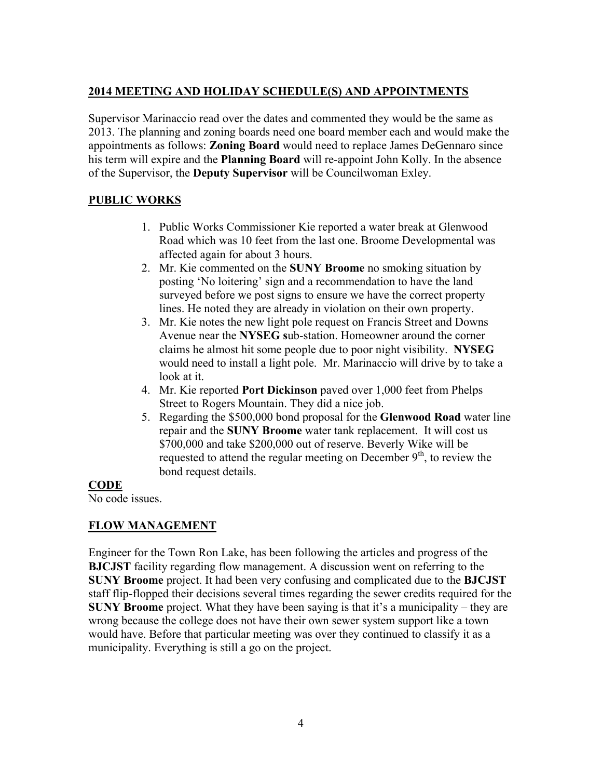# **2014 MEETING AND HOLIDAY SCHEDULE(S) AND APPOINTMENTS**

Supervisor Marinaccio read over the dates and commented they would be the same as 2013. The planning and zoning boards need one board member each and would make the appointments as follows: **Zoning Board** would need to replace James DeGennaro since his term will expire and the **Planning Board** will re-appoint John Kolly. In the absence of the Supervisor, the **Deputy Supervisor** will be Councilwoman Exley.

# **PUBLIC WORKS**

- 1. Public Works Commissioner Kie reported a water break at Glenwood Road which was 10 feet from the last one. Broome Developmental was affected again for about 3 hours.
- 2. Mr. Kie commented on the **SUNY Broome** no smoking situation by posting 'No loitering' sign and a recommendation to have the land surveyed before we post signs to ensure we have the correct property lines. He noted they are already in violation on their own property.
- 3. Mr. Kie notes the new light pole request on Francis Street and Downs Avenue near the **NYSEG s**ub-station. Homeowner around the corner claims he almost hit some people due to poor night visibility. **NYSEG** would need to install a light pole. Mr. Marinaccio will drive by to take a look at it.
- 4. Mr. Kie reported **Port Dickinson** paved over 1,000 feet from Phelps Street to Rogers Mountain. They did a nice job.
- 5. Regarding the \$500,000 bond proposal for the **Glenwood Road** water line repair and the **SUNY Broome** water tank replacement. It will cost us \$700,000 and take \$200,000 out of reserve. Beverly Wike will be requested to attend the regular meeting on December  $9<sup>th</sup>$ , to review the bond request details.

#### **CODE**

No code issues.

# **FLOW MANAGEMENT**

Engineer for the Town Ron Lake, has been following the articles and progress of the **BJCJST** facility regarding flow management. A discussion went on referring to the **SUNY Broome** project. It had been very confusing and complicated due to the **BJCJST** staff flip-flopped their decisions several times regarding the sewer credits required for the **SUNY Broome** project. What they have been saying is that it's a municipality – they are wrong because the college does not have their own sewer system support like a town would have. Before that particular meeting was over they continued to classify it as a municipality. Everything is still a go on the project.